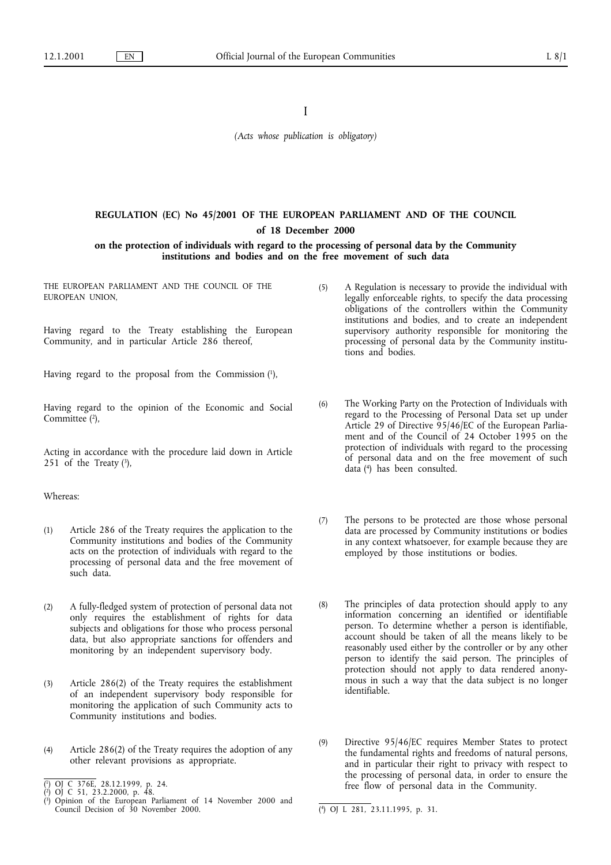I

*(Acts whose publication is obligatory)*

# **REGULATION (EC) No 45/2001 OF THE EUROPEAN PARLIAMENT AND OF THE COUNCIL** of 18 December 2000

## **on the protection of individuals with regard to the processing of personal data by the Community institutions and bodies and on the free movement of such data**

THE EUROPEAN PARLIAMENT AND THE COUNCIL OF THE EUROPEAN UNION,

Having regard to the Treaty establishing the European Community, and in particular Article 286 thereof,

Having regard to the proposal from the Commission  $(1)$ ,

Having regard to the opinion of the Economic and Social Committee  $(2)$ ,

Acting in accordance with the procedure laid down in Article 251 of the Treaty  $(3)$ ,

## Whereas:

- (1) Article 286 of the Treaty requires the application to the Community institutions and bodies of the Community acts on the protection of individuals with regard to the processing of personal data and the free movement of such data.
- (2) A fully-fledged system of protection of personal data not only requires the establishment of rights for data subjects and obligations for those who process personal data, but also appropriate sanctions for offenders and monitoring by an independent supervisory body.
- (3) Article 286(2) of the Treaty requires the establishment of an independent supervisory body responsible for monitoring the application of such Community acts to Community institutions and bodies.
- (4) Article 286(2) of the Treaty requires the adoption of any other relevant provisions as appropriate.
- (5) A Regulation is necessary to provide the individual with legally enforceable rights, to specify the data processing obligations of the controllers within the Community institutions and bodies, and to create an independent supervisory authority responsible for monitoring the processing of personal data by the Community institutions and bodies.
- (6) The Working Party on the Protection of Individuals with regard to the Processing of Personal Data set up under Article 29 of Directive 95/46/EC of the European Parliament and of the Council of 24 October 1995 on the protection of individuals with regard to the processing of personal data and on the free movement of such data (4) has been consulted.
- (7) The persons to be protected are those whose personal data are processed by Community institutions or bodies in any context whatsoever, for example because they are employed by those institutions or bodies.
- (8) The principles of data protection should apply to any information concerning an identified or identifiable person. To determine whether a person is identifiable, account should be taken of all the means likely to be reasonably used either by the controller or by any other person to identify the said person. The principles of protection should not apply to data rendered anonymous in such a way that the data subject is no longer identifiable.
- (9) Directive 95/46/EC requires Member States to protect the fundamental rights and freedoms of natural persons, and in particular their right to privacy with respect to the processing of personal data, in order to ensure the free flow of personal data in the Community.

<sup>1)</sup> OJ C 376E, 28.12.1999, p. 24.

<sup>(</sup> 2) OJ C 51, 23.2.2000, p. 48.

<sup>(</sup> 3) Opinion of the European Parliament of 14 November 2000 and Council Decision of 30 November 2000. (4) OJ L 281, 23.11.1995, p. 31.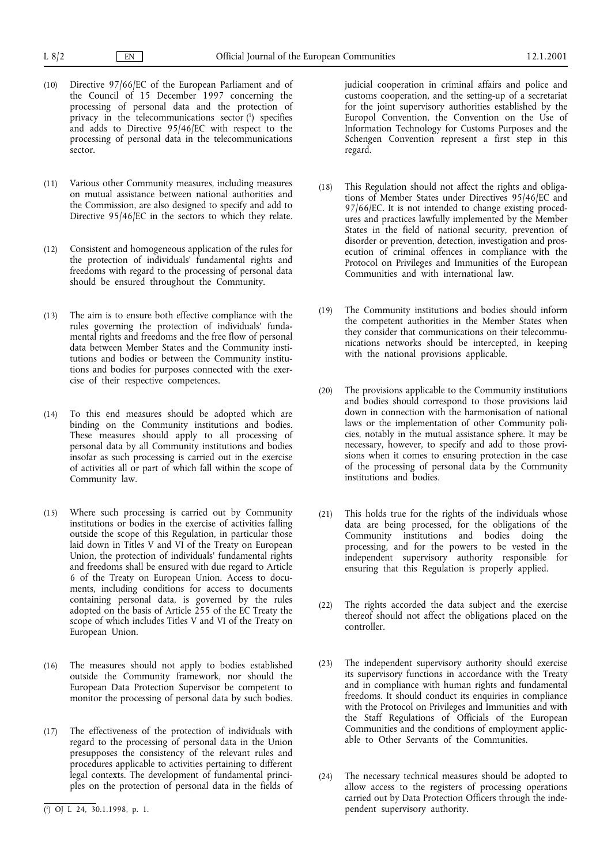- (10) Directive 97/66/EC of the European Parliament and of the Council of 15 December 1997 concerning the processing of personal data and the protection of privacy in the telecommunications sector (1) specifies and adds to Directive 95/46/EC with respect to the processing of personal data in the telecommunications sector.
- (11) Various other Community measures, including measures on mutual assistance between national authorities and the Commission, are also designed to specify and add to Directive 95/46/EC in the sectors to which they relate.
- (12) Consistent and homogeneous application of the rules for the protection of individuals' fundamental rights and freedoms with regard to the processing of personal data should be ensured throughout the Community.
- (13) The aim is to ensure both effective compliance with the rules governing the protection of individuals' fundamental rights and freedoms and the free flow of personal data between Member States and the Community institutions and bodies or between the Community institutions and bodies for purposes connected with the exercise of their respective competences.
- (14) To this end measures should be adopted which are binding on the Community institutions and bodies. These measures should apply to all processing of personal data by all Community institutions and bodies insofar as such processing is carried out in the exercise of activities all or part of which fall within the scope of Community law.
- (15) Where such processing is carried out by Community institutions or bodies in the exercise of activities falling outside the scope of this Regulation, in particular those laid down in Titles V and VI of the Treaty on European Union, the protection of individuals' fundamental rights and freedoms shall be ensured with due regard to Article 6 of the Treaty on European Union. Access to documents, including conditions for access to documents containing personal data, is governed by the rules adopted on the basis of Article 255 of the EC Treaty the scope of which includes Titles V and VI of the Treaty on European Union.
- (16) The measures should not apply to bodies established outside the Community framework, nor should the European Data Protection Supervisor be competent to monitor the processing of personal data by such bodies.
- (17) The effectiveness of the protection of individuals with regard to the processing of personal data in the Union presupposes the consistency of the relevant rules and procedures applicable to activities pertaining to different legal contexts. The development of fundamental principles on the protection of personal data in the fields of

judicial cooperation in criminal affairs and police and customs cooperation, and the setting-up of a secretariat for the joint supervisory authorities established by the Europol Convention, the Convention on the Use of Information Technology for Customs Purposes and the Schengen Convention represent a first step in this regard.

- (18) This Regulation should not affect the rights and obligations of Member States under Directives 95/46/EC and 97/66/EC. It is not intended to change existing procedures and practices lawfully implemented by the Member States in the field of national security, prevention of disorder or prevention, detection, investigation and prosecution of criminal offences in compliance with the Protocol on Privileges and Immunities of the European Communities and with international law.
- (19) The Community institutions and bodies should inform the competent authorities in the Member States when they consider that communications on their telecommunications networks should be intercepted, in keeping with the national provisions applicable.
- (20) The provisions applicable to the Community institutions and bodies should correspond to those provisions laid down in connection with the harmonisation of national laws or the implementation of other Community policies, notably in the mutual assistance sphere. It may be necessary, however, to specify and add to those provisions when it comes to ensuring protection in the case of the processing of personal data by the Community institutions and bodies.
- (21) This holds true for the rights of the individuals whose data are being processed, for the obligations of the Community institutions and bodies doing the processing, and for the powers to be vested in the independent supervisory authority responsible for ensuring that this Regulation is properly applied.
- (22) The rights accorded the data subject and the exercise thereof should not affect the obligations placed on the controller.
- (23) The independent supervisory authority should exercise its supervisory functions in accordance with the Treaty and in compliance with human rights and fundamental freedoms. It should conduct its enquiries in compliance with the Protocol on Privileges and Immunities and with the Staff Regulations of Officials of the European Communities and the conditions of employment applicable to Other Servants of the Communities.
- (24) The necessary technical measures should be adopted to allow access to the registers of processing operations carried out by Data Protection Officers through the inde- ( pendent supervisory authority. 1) OJ L 24, 30.1.1998, p. 1.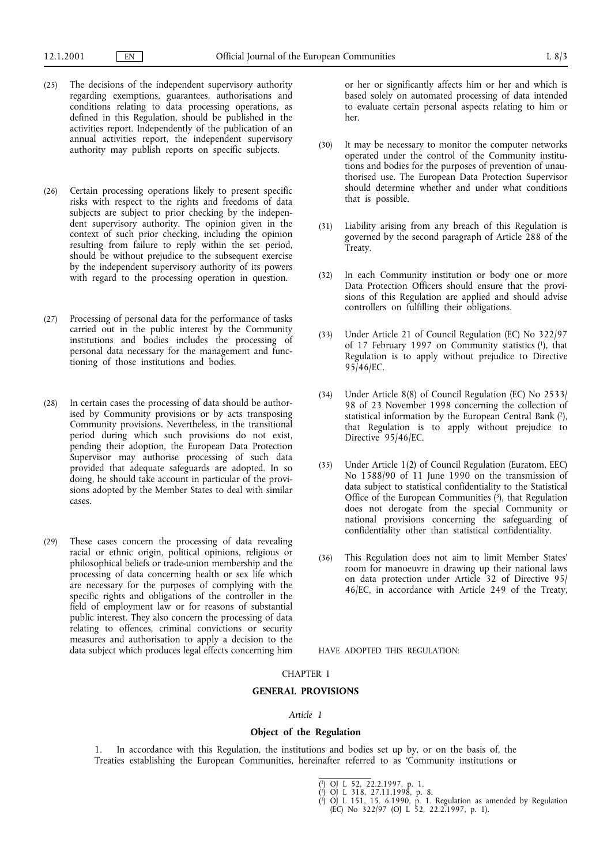- (25) The decisions of the independent supervisory authority regarding exemptions, guarantees, authorisations and conditions relating to data processing operations, as defined in this Regulation, should be published in the activities report. Independently of the publication of an annual activities report, the independent supervisory authority may publish reports on specific subjects.
- (26) Certain processing operations likely to present specific risks with respect to the rights and freedoms of data subjects are subject to prior checking by the independent supervisory authority. The opinion given in the context of such prior checking, including the opinion resulting from failure to reply within the set period, should be without prejudice to the subsequent exercise by the independent supervisory authority of its powers with regard to the processing operation in question.
- (27) Processing of personal data for the performance of tasks carried out in the public interest by the Community institutions and bodies includes the processing of personal data necessary for the management and functioning of those institutions and bodies.
- (28) In certain cases the processing of data should be authorised by Community provisions or by acts transposing Community provisions. Nevertheless, in the transitional period during which such provisions do not exist, pending their adoption, the European Data Protection Supervisor may authorise processing of such data provided that adequate safeguards are adopted. In so doing, he should take account in particular of the provisions adopted by the Member States to deal with similar cases.
- (29) These cases concern the processing of data revealing racial or ethnic origin, political opinions, religious or philosophical beliefs or trade-union membership and the processing of data concerning health or sex life which are necessary for the purposes of complying with the specific rights and obligations of the controller in the field of employment law or for reasons of substantial public interest. They also concern the processing of data relating to offences, criminal convictions or security measures and authorisation to apply a decision to the data subject which produces legal effects concerning him

or her or significantly affects him or her and which is based solely on automated processing of data intended to evaluate certain personal aspects relating to him or her.

- (30) It may be necessary to monitor the computer networks operated under the control of the Community institutions and bodies for the purposes of prevention of unauthorised use. The European Data Protection Supervisor should determine whether and under what conditions that is possible.
- (31) Liability arising from any breach of this Regulation is governed by the second paragraph of Article 288 of the Treaty.
- (32) In each Community institution or body one or more Data Protection Officers should ensure that the provisions of this Regulation are applied and should advise controllers on fulfilling their obligations.
- (33) Under Article 21 of Council Regulation (EC) No 322/97 of 17 February 1997 on Community statistics (1), that Regulation is to apply without prejudice to Directive 95/46/EC.
- (34) Under Article 8(8) of Council Regulation (EC) No 2533/ 98 of 23 November 1998 concerning the collection of statistical information by the European Central Bank (2), that Regulation is to apply without prejudice to Directive 95/46/EC.
- (35) Under Article 1(2) of Council Regulation (Euratom, EEC) No 1588/90 of 11 June 1990 on the transmission of data subject to statistical confidentiality to the Statistical Office of the European Communities (3), that Regulation does not derogate from the special Community or national provisions concerning the safeguarding of confidentiality other than statistical confidentiality.
- (36) This Regulation does not aim to limit Member States' room for manoeuvre in drawing up their national laws on data protection under Article 32 of Directive 95/ 46/EC, in accordance with Article 249 of the Treaty,

HAVE ADOPTED THIS REGULATION:

# **CHAPTER I**

### **GENERAL PROVISIONS**

## *Article 1*

### **Object of the Regulation**

1. In accordance with this Regulation, the institutions and bodies set up by, or on the basis of, the Treaties establishing the European Communities, hereinafter referred to as 'Community institutions or

- ( 2) OJ L 318, 27.11.1998, p. 8.
- ( 3) OJ L 151, 15. 6.1990, p. 1. Regulation as amended by Regulation (EC) No 322/97 (OJ L 52, 22.2.1997, p. 1).

<sup>(</sup> 1) OJ L 52, 22.2.1997, p. 1.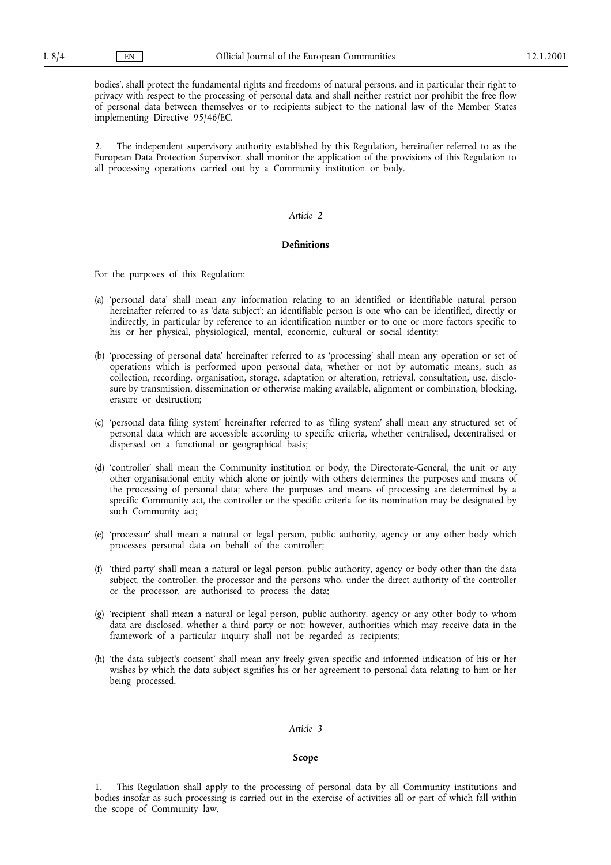bodies', shall protect the fundamental rights and freedoms of natural persons, and in particular their right to privacy with respect to the processing of personal data and shall neither restrict nor prohibit the free flow of personal data between themselves or to recipients subject to the national law of the Member States implementing Directive 95/46/EC.

2. The independent supervisory authority established by this Regulation, hereinafter referred to as the European Data Protection Supervisor, shall monitor the application of the provisions of this Regulation to all processing operations carried out by a Community institution or body.

#### *Article 2*

#### **Definitions**

For the purposes of this Regulation:

- (a) 'personal data' shall mean any information relating to an identified or identifiable natural person hereinafter referred to as 'data subject'; an identifiable person is one who can be identified, directly or indirectly, in particular by reference to an identification number or to one or more factors specific to his or her physical, physiological, mental, economic, cultural or social identity;
- (b) 'processing of personal data' hereinafter referred to as 'processing' shall mean any operation or set of operations which is performed upon personal data, whether or not by automatic means, such as collection, recording, organisation, storage, adaptation or alteration, retrieval, consultation, use, disclosure by transmission, dissemination or otherwise making available, alignment or combination, blocking, erasure or destruction;
- (c) 'personal data filing system' hereinafter referred to as 'filing system' shall mean any structured set of personal data which are accessible according to specific criteria, whether centralised, decentralised or dispersed on a functional or geographical basis;
- (d) 'controller' shall mean the Community institution or body, the Directorate-General, the unit or any other organisational entity which alone or jointly with others determines the purposes and means of the processing of personal data; where the purposes and means of processing are determined by a specific Community act, the controller or the specific criteria for its nomination may be designated by such Community act;
- (e) 'processor' shall mean a natural or legal person, public authority, agency or any other body which processes personal data on behalf of the controller;
- (f) 'third party' shall mean a natural or legal person, public authority, agency or body other than the data subject, the controller, the processor and the persons who, under the direct authority of the controller or the processor, are authorised to process the data;
- (g) 'recipient' shall mean a natural or legal person, public authority, agency or any other body to whom data are disclosed, whether a third party or not; however, authorities which may receive data in the framework of a particular inquiry shall not be regarded as recipients;
- (h) 'the data subject's consent' shall mean any freely given specific and informed indication of his or her wishes by which the data subject signifies his or her agreement to personal data relating to him or her being processed.

#### *Article 3*

### **Scope**

1. This Regulation shall apply to the processing of personal data by all Community institutions and bodies insofar as such processing is carried out in the exercise of activities all or part of which fall within the scope of Community law.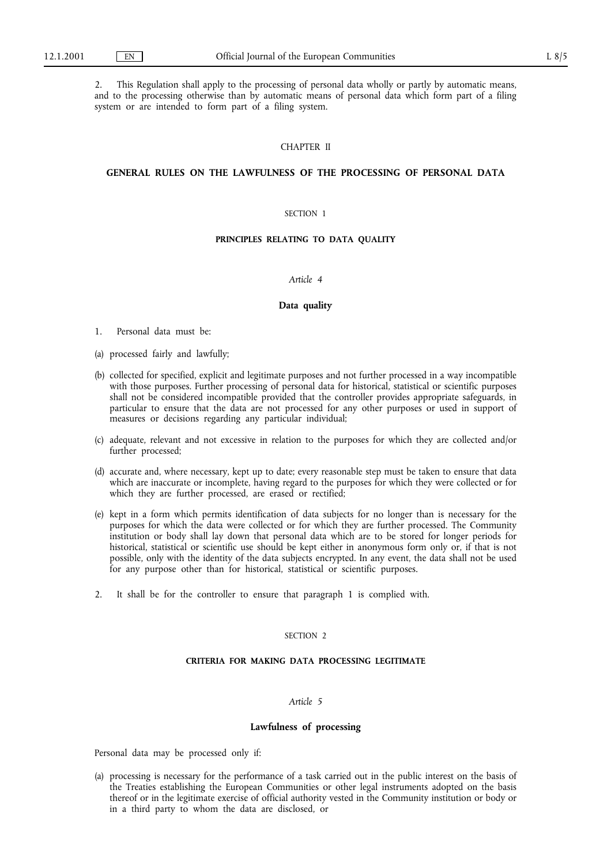2. This Regulation shall apply to the processing of personal data wholly or partly by automatic means, and to the processing otherwise than by automatic means of personal data which form part of a filing system or are intended to form part of a filing system.

## **CHAPTER II**

# **GENERAL RULES ON THE LAWFULNESS OF THE PROCESSING OF PERSONAL DATA**

#### SECTION<sub>1</sub>

#### **PRINCIPLES RELATING TO DATA QUALITY**

#### *Article 4*

#### **Data quality**

- 1. Personal data must be:
- (a) processed fairly and lawfully;
- (b) collected for specified, explicit and legitimate purposes and not further processed in a way incompatible with those purposes. Further processing of personal data for historical, statistical or scientific purposes shall not be considered incompatible provided that the controller provides appropriate safeguards, in particular to ensure that the data are not processed for any other purposes or used in support of measures or decisions regarding any particular individual;
- (c) adequate, relevant and not excessive in relation to the purposes for which they are collected and/or further processed;
- (d) accurate and, where necessary, kept up to date; every reasonable step must be taken to ensure that data which are inaccurate or incomplete, having regard to the purposes for which they were collected or for which they are further processed, are erased or rectified;
- (e) kept in a form which permits identification of data subjects for no longer than is necessary for the purposes for which the data were collected or for which they are further processed. The Community institution or body shall lay down that personal data which are to be stored for longer periods for historical, statistical or scientific use should be kept either in anonymous form only or, if that is not possible, only with the identity of the data subjects encrypted. In any event, the data shall not be used for any purpose other than for historical, statistical or scientific purposes.
- 2. It shall be for the controller to ensure that paragraph 1 is complied with.

### SECTION 2

# **CRITERIA FOR MAKING DATA PROCESSING LEGITIMATE**

# *Article 5*

## **Lawfulness of processing**

Personal data may be processed only if:

(a) processing is necessary for the performance of a task carried out in the public interest on the basis of the Treaties establishing the European Communities or other legal instruments adopted on the basis thereof or in the legitimate exercise of official authority vested in the Community institution or body or in a third party to whom the data are disclosed, or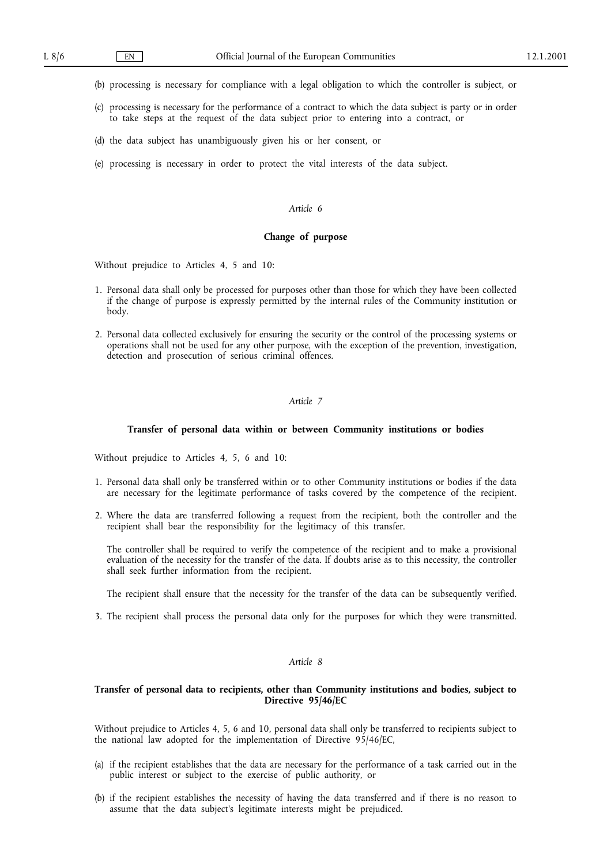- (b) processing is necessary for compliance with a legal obligation to which the controller is subject, or
- (c) processing is necessary for the performance of a contract to which the data subject is party or in order to take steps at the request of the data subject prior to entering into a contract, or
- (d) the data subject has unambiguously given his or her consent, or
- (e) processing is necessary in order to protect the vital interests of the data subject.

# **Change of purpose**

Without prejudice to Articles 4, 5 and 10:

- 1. Personal data shall only be processed for purposes other than those for which they have been collected if the change of purpose is expressly permitted by the internal rules of the Community institution or body.
- 2. Personal data collected exclusively for ensuring the security or the control of the processing systems or operations shall not be used for any other purpose, with the exception of the prevention, investigation, detection and prosecution of serious criminal offences.

# *Article 7*

### **Transfer of personal data within or between Community institutions or bodies**

Without prejudice to Articles 4, 5, 6 and 10:

- 1. Personal data shall only be transferred within or to other Community institutions or bodies if the data are necessary for the legitimate performance of tasks covered by the competence of the recipient.
- 2. Where the data are transferred following a request from the recipient, both the controller and the recipient shall bear the responsibility for the legitimacy of this transfer.

The controller shall be required to verify the competence of the recipient and to make a provisional evaluation of the necessity for the transfer of the data. If doubts arise as to this necessity, the controller shall seek further information from the recipient.

The recipient shall ensure that the necessity for the transfer of the data can be subsequently verified.

3. The recipient shall process the personal data only for the purposes for which they were transmitted.

### *Article 8*

# **Transfer of personal data to recipients, other than Community institutions and bodies, subject to Directive 95/46/EC**

Without prejudice to Articles 4, 5, 6 and 10, personal data shall only be transferred to recipients subject to the national law adopted for the implementation of Directive 95/46/EC,

- (a) if the recipient establishes that the data are necessary for the performance of a task carried out in the public interest or subject to the exercise of public authority, or
- (b) if the recipient establishes the necessity of having the data transferred and if there is no reason to assume that the data subject's legitimate interests might be prejudiced.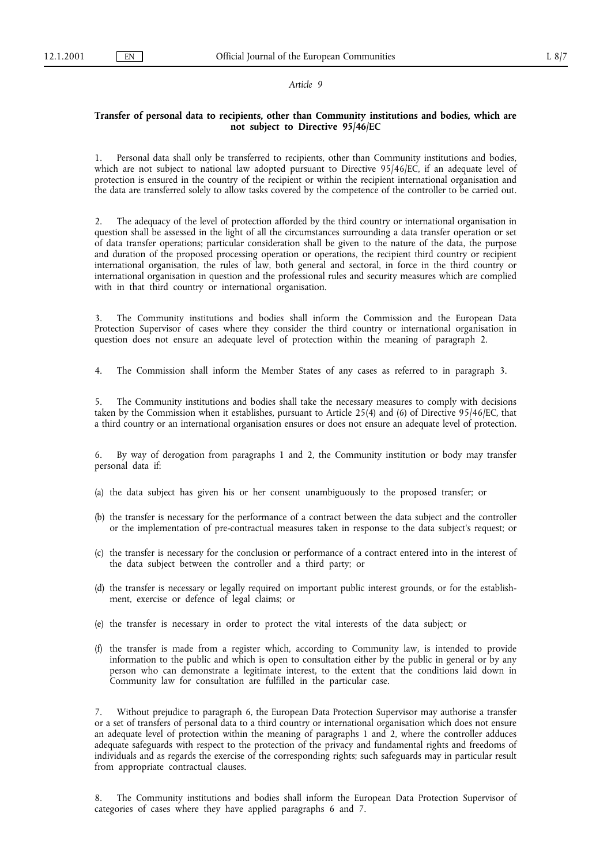## **Transfer of personal data to recipients, other than Community institutions and bodies, which are not subject to Directive 95/46/EC**

1. Personal data shall only be transferred to recipients, other than Community institutions and bodies, which are not subject to national law adopted pursuant to Directive 95/46/EC, if an adequate level of protection is ensured in the country of the recipient or within the recipient international organisation and the data are transferred solely to allow tasks covered by the competence of the controller to be carried out.

2. The adequacy of the level of protection afforded by the third country or international organisation in question shall be assessed in the light of all the circumstances surrounding a data transfer operation or set of data transfer operations; particular consideration shall be given to the nature of the data, the purpose and duration of the proposed processing operation or operations, the recipient third country or recipient international organisation, the rules of law, both general and sectoral, in force in the third country or international organisation in question and the professional rules and security measures which are complied with in that third country or international organisation.

3. The Community institutions and bodies shall inform the Commission and the European Data Protection Supervisor of cases where they consider the third country or international organisation in question does not ensure an adequate level of protection within the meaning of paragraph 2.

4. The Commission shall inform the Member States of any cases as referred to in paragraph 3.

5. The Community institutions and bodies shall take the necessary measures to comply with decisions taken by the Commission when it establishes, pursuant to Article 25(4) and (6) of Directive 95/46/EC, that a third country or an international organisation ensures or does not ensure an adequate level of protection.

6. By way of derogation from paragraphs 1 and 2, the Community institution or body may transfer personal data if:

- (a) the data subject has given his or her consent unambiguously to the proposed transfer; or
- (b) the transfer is necessary for the performance of a contract between the data subject and the controller or the implementation of pre-contractual measures taken in response to the data subject's request; or
- (c) the transfer is necessary for the conclusion or performance of a contract entered into in the interest of the data subject between the controller and a third party; or
- (d) the transfer is necessary or legally required on important public interest grounds, or for the establishment, exercise or defence of legal claims; or
- (e) the transfer is necessary in order to protect the vital interests of the data subject; or
- (f) the transfer is made from a register which, according to Community law, is intended to provide information to the public and which is open to consultation either by the public in general or by any person who can demonstrate a legitimate interest, to the extent that the conditions laid down in Community law for consultation are fulfilled in the particular case.

7. Without prejudice to paragraph 6, the European Data Protection Supervisor may authorise a transfer or a set of transfers of personal data to a third country or international organisation which does not ensure an adequate level of protection within the meaning of paragraphs 1 and 2, where the controller adduces adequate safeguards with respect to the protection of the privacy and fundamental rights and freedoms of individuals and as regards the exercise of the corresponding rights; such safeguards may in particular result from appropriate contractual clauses.

8. The Community institutions and bodies shall inform the European Data Protection Supervisor of categories of cases where they have applied paragraphs 6 and 7.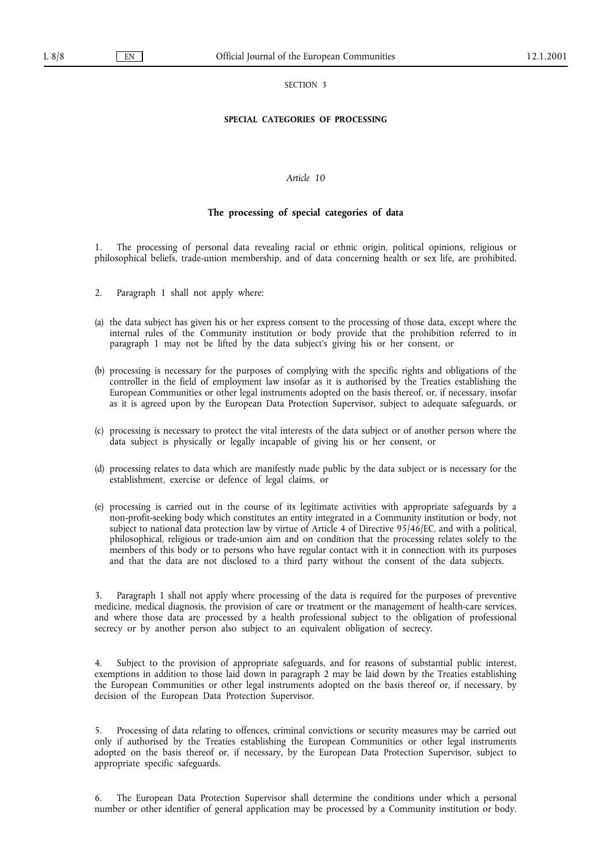### SECTION<sub>3</sub>

## **SPECIAL CATEGORIES OF PROCESSING**

### *Article 10*

### **The processing of special categories of data**

1. The processing of personal data revealing racial or ethnic origin, political opinions, religious or philosophical beliefs, trade-union membership, and of data concerning health or sex life, are prohibited.

- 2. Paragraph 1 shall not apply where:
- (a) the data subject has given his or her express consent to the processing of those data, except where the internal rules of the Community institution or body provide that the prohibition referred to in paragraph 1 may not be lifted by the data subject's giving his or her consent, or
- (b) processing is necessary for the purposes of complying with the specific rights and obligations of the controller in the field of employment law insofar as it is authorised by the Treaties establishing the European Communities or other legal instruments adopted on the basis thereof, or, if necessary, insofar as it is agreed upon by the European Data Protection Supervisor, subject to adequate safeguards, or
- (c) processing is necessary to protect the vital interests of the data subject or of another person where the data subject is physically or legally incapable of giving his or her consent, or
- (d) processing relates to data which are manifestly made public by the data subject or is necessary for the establishment, exercise or defence of legal claims, or
- (e) processing is carried out in the course of its legitimate activities with appropriate safeguards by a non-profit-seeking body which constitutes an entity integrated in a Community institution or body, not subject to national data protection law by virtue of Article 4 of Directive 95/46/EC, and with a political, philosophical, religious or trade-union aim and on condition that the processing relates solely to the members of this body or to persons who have regular contact with it in connection with its purposes and that the data are not disclosed to a third party without the consent of the data subjects.

Paragraph 1 shall not apply where processing of the data is required for the purposes of preventive medicine, medical diagnosis, the provision of care or treatment or the management of health-care services, and where those data are processed by a health professional subject to the obligation of professional secrecy or by another person also subject to an equivalent obligation of secrecy.

4. Subject to the provision of appropriate safeguards, and for reasons of substantial public interest, exemptions in addition to those laid down in paragraph 2 may be laid down by the Treaties establishing the European Communities or other legal instruments adopted on the basis thereof or, if necessary, by decision of the European Data Protection Supervisor.

5. Processing of data relating to offences, criminal convictions or security measures may be carried out only if authorised by the Treaties establishing the European Communities or other legal instruments adopted on the basis thereof or, if necessary, by the European Data Protection Supervisor, subject to appropriate specific safeguards.

6. The European Data Protection Supervisor shall determine the conditions under which a personal number or other identifier of general application may be processed by a Community institution or body.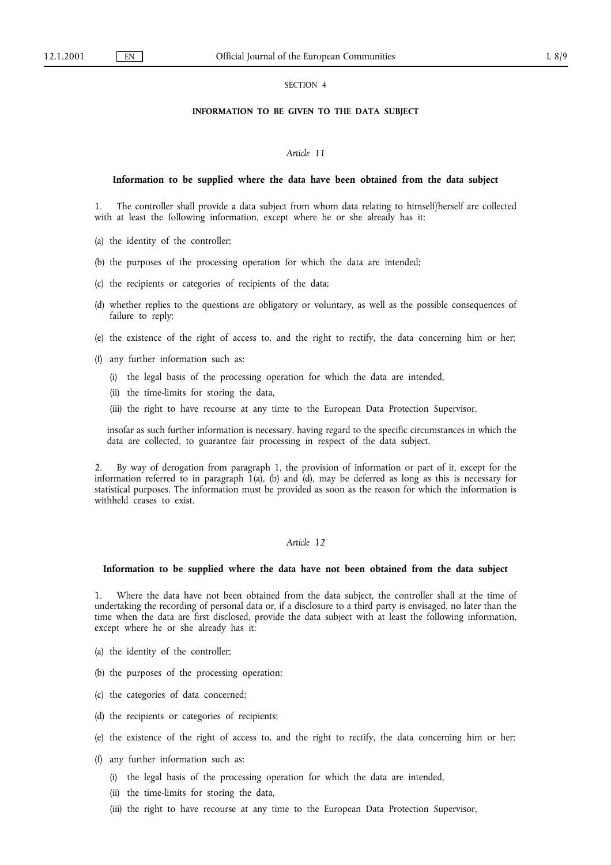### SECTION 4

#### **INFORMATION TO BE GIVEN TO THE DATA SUBJECT**

## *Article 11*

### **Information to be supplied where the data have been obtained from the data subject**

The controller shall provide a data subject from whom data relating to himself/herself are collected with at least the following information, except where he or she already has it:

- (a) the identity of the controller;
- (b) the purposes of the processing operation for which the data are intended;
- (c) the recipients or categories of recipients of the data;
- (d) whether replies to the questions are obligatory or voluntary, as well as the possible consequences of failure to reply;
- (e) the existence of the right of access to, and the right to rectify, the data concerning him or her;
- (f) any further information such as:
	- (i) the legal basis of the processing operation for which the data are intended,
	- (ii) the time-limits for storing the data,
	- (iii) the right to have recourse at any time to the European Data Protection Supervisor,

insofar as such further information is necessary, having regard to the specific circumstances in which the data are collected, to guarantee fair processing in respect of the data subject.

2. By way of derogation from paragraph 1, the provision of information or part of it, except for the information referred to in paragraph  $I(a)$ , (b) and  $(d)$ , may be deferred as long as this is necessary for statistical purposes. The information must be provided as soon as the reason for which the information is withheld ceases to exist.

### *Article 12*

## **Information to be supplied where the data have not been obtained from the data subject**

1. Where the data have not been obtained from the data subject, the controller shall at the time of undertaking the recording of personal data or, if a disclosure to a third party is envisaged, no later than the time when the data are first disclosed, provide the data subject with at least the following information, except where he or she already has it:

- (a) the identity of the controller;
- (b) the purposes of the processing operation;
- (c) the categories of data concerned;
- (d) the recipients or categories of recipients;
- (e) the existence of the right of access to, and the right to rectify, the data concerning him or her;
- (f) any further information such as:
	- (i) the legal basis of the processing operation for which the data are intended,
	- (ii) the time-limits for storing the data,
	- (iii) the right to have recourse at any time to the European Data Protection Supervisor,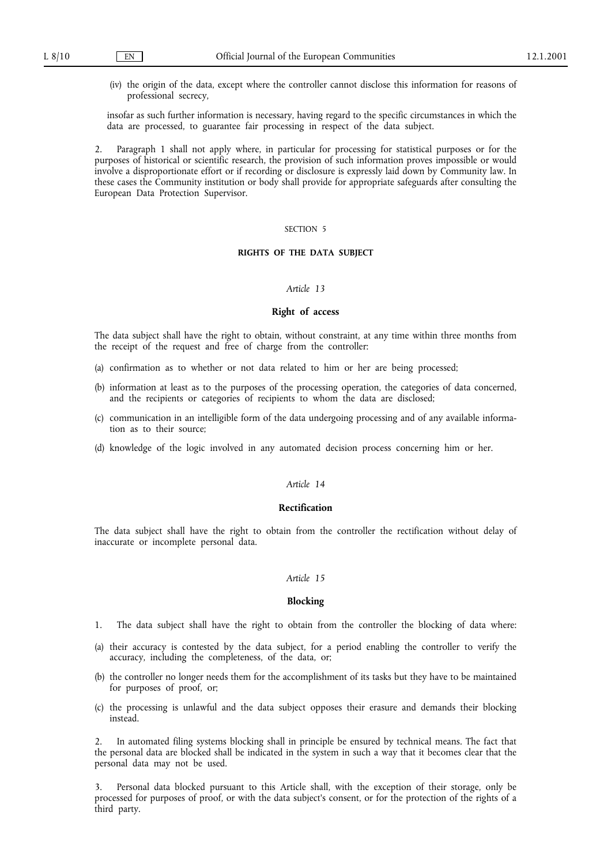(iv) the origin of the data, except where the controller cannot disclose this information for reasons of professional secrecy,

insofar as such further information is necessary, having regard to the specific circumstances in which the data are processed, to guarantee fair processing in respect of the data subject.

2. Paragraph 1 shall not apply where, in particular for processing for statistical purposes or for the purposes of historical or scientific research, the provision of such information proves impossible or would involve a disproportionate effort or if recording or disclosure is expressly laid down by Community law. In these cases the Community institution or body shall provide for appropriate safeguards after consulting the European Data Protection Supervisor.

### SECTION 5

### **RIGHTS OF THE DATA SUBJECT**

## *Article 13*

## **Right of access**

The data subject shall have the right to obtain, without constraint, at any time within three months from the receipt of the request and free of charge from the controller:

- (a) confirmation as to whether or not data related to him or her are being processed;
- (b) information at least as to the purposes of the processing operation, the categories of data concerned, and the recipients or categories of recipients to whom the data are disclosed;
- (c) communication in an intelligible form of the data undergoing processing and of any available information as to their source;
- (d) knowledge of the logic involved in any automated decision process concerning him or her.

### *Article 14*

#### **Rectification**

The data subject shall have the right to obtain from the controller the rectification without delay of inaccurate or incomplete personal data.

### *Article 15*

## **Blocking**

1. The data subject shall have the right to obtain from the controller the blocking of data where:

- (a) their accuracy is contested by the data subject, for a period enabling the controller to verify the accuracy, including the completeness, of the data, or;
- (b) the controller no longer needs them for the accomplishment of its tasks but they have to be maintained for purposes of proof, or;
- (c) the processing is unlawful and the data subject opposes their erasure and demands their blocking instead.

2. In automated filing systems blocking shall in principle be ensured by technical means. The fact that the personal data are blocked shall be indicated in the system in such a way that it becomes clear that the personal data may not be used.

3. Personal data blocked pursuant to this Article shall, with the exception of their storage, only be processed for purposes of proof, or with the data subject's consent, or for the protection of the rights of a third party.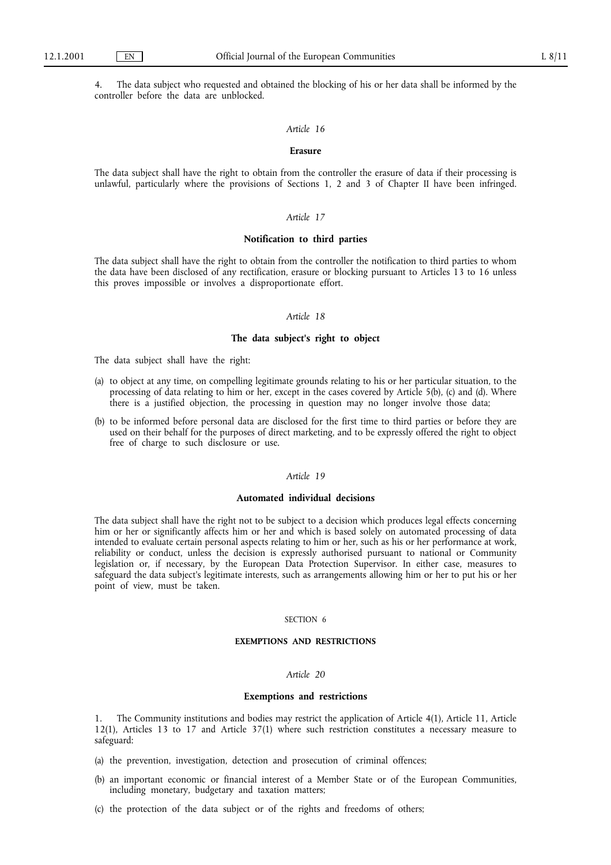The data subject who requested and obtained the blocking of his or her data shall be informed by the controller before the data are unblocked.

### *Article 16*

### **Erasure**

The data subject shall have the right to obtain from the controller the erasure of data if their processing is unlawful, particularly where the provisions of Sections 1, 2 and 3 of Chapter II have been infringed.

### *Article 17*

### **Notification to third parties**

The data subject shall have the right to obtain from the controller the notification to third parties to whom the data have been disclosed of any rectification, erasure or blocking pursuant to Articles 13 to 16 unless this proves impossible or involves a disproportionate effort.

#### *Article 18*

### **The data subject's right to object**

The data subject shall have the right:

- (a) to object at any time, on compelling legitimate grounds relating to his or her particular situation, to the processing of data relating to him or her, except in the cases covered by Article 5(b), (c) and (d). Where there is a justified objection, the processing in question may no longer involve those data;
- (b) to be informed before personal data are disclosed for the first time to third parties or before they are used on their behalf for the purposes of direct marketing, and to be expressly offered the right to object free of charge to such disclosure or use.

# *Article 19*

#### **Automated individual decisions**

The data subject shall have the right not to be subject to a decision which produces legal effects concerning him or her or significantly affects him or her and which is based solely on automated processing of data intended to evaluate certain personal aspects relating to him or her, such as his or her performance at work, reliability or conduct, unless the decision is expressly authorised pursuant to national or Community legislation or, if necessary, by the European Data Protection Supervisor. In either case, measures to safeguard the data subject's legitimate interests, such as arrangements allowing him or her to put his or her point of view, must be taken.

#### SECTION 6

## **EXEMPTIONS AND RESTRICTIONS**

### *Article 20*

#### **Exemptions and restrictions**

1. The Community institutions and bodies may restrict the application of Article 4(1), Article 11, Article 12(1), Articles 13 to 17 and Article 37(1) where such restriction constitutes a necessary measure to safeguard:

- (a) the prevention, investigation, detection and prosecution of criminal offences;
- (b) an important economic or financial interest of a Member State or of the European Communities, including monetary, budgetary and taxation matters;
- (c) the protection of the data subject or of the rights and freedoms of others;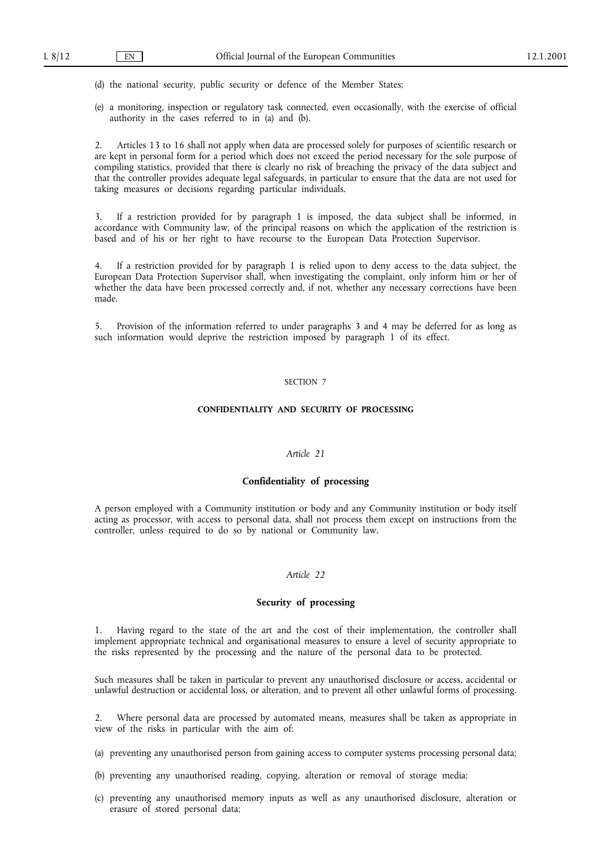- (d) the national security, public security or defence of the Member States;
- (e) a monitoring, inspection or regulatory task connected, even occasionally, with the exercise of official authority in the cases referred to in (a) and (b).

2. Articles 13 to 16 shall not apply when data are processed solely for purposes of scientific research or are kept in personal form for a period which does not exceed the period necessary for the sole purpose of compiling statistics, provided that there is clearly no risk of breaching the privacy of the data subject and that the controller provides adequate legal safeguards, in particular to ensure that the data are not used for taking measures or decisions regarding particular individuals.

3. If a restriction provided for by paragraph 1 is imposed, the data subject shall be informed, in accordance with Community law, of the principal reasons on which the application of the restriction is based and of his or her right to have recourse to the European Data Protection Supervisor.

4. If a restriction provided for by paragraph 1 is relied upon to deny access to the data subject, the European Data Protection Supervisor shall, when investigating the complaint, only inform him or her of whether the data have been processed correctly and, if not, whether any necessary corrections have been made.

5. Provision of the information referred to under paragraphs 3 and 4 may be deferred for as long as such information would deprive the restriction imposed by paragraph 1 of its effect.

### SECTION<sub>7</sub>

### **CONFIDENTIALITY AND SECURITY OF PROCESSING**

### *Article 21*

#### **Confidentiality of processing**

A person employed with a Community institution or body and any Community institution or body itself acting as processor, with access to personal data, shall not process them except on instructions from the controller, unless required to do so by national or Community law.

# *Article 22*

## **Security of processing**

1. Having regard to the state of the art and the cost of their implementation, the controller shall implement appropriate technical and organisational measures to ensure a level of security appropriate to the risks represented by the processing and the nature of the personal data to be protected.

Such measures shall be taken in particular to prevent any unauthorised disclosure or access, accidental or unlawful destruction or accidental loss, or alteration, and to prevent all other unlawful forms of processing.

2. Where personal data are processed by automated means, measures shall be taken as appropriate in view of the risks in particular with the aim of:

- (a) preventing any unauthorised person from gaining access to computer systems processing personal data;
- (b) preventing any unauthorised reading, copying, alteration or removal of storage media;
- (c) preventing any unauthorised memory inputs as well as any unauthorised disclosure, alteration or erasure of stored personal data;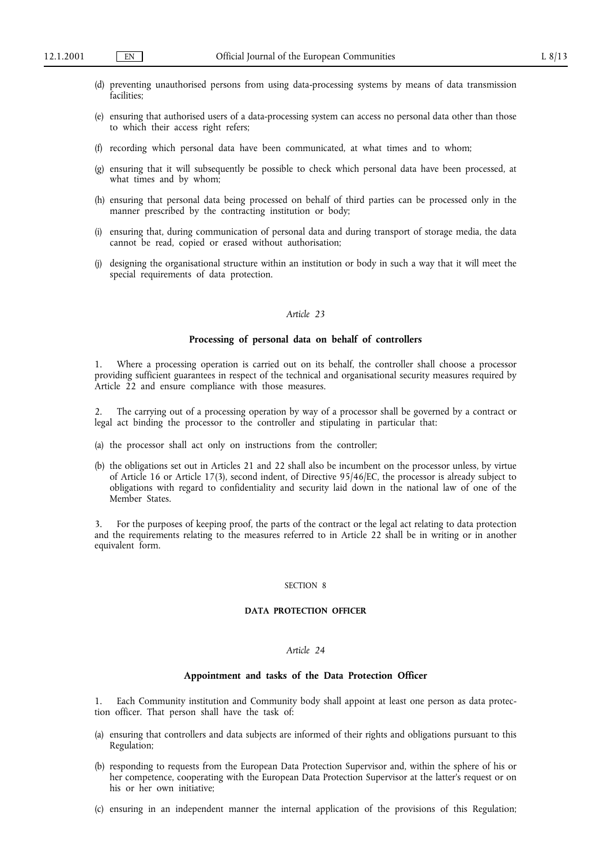- (d) preventing unauthorised persons from using data-processing systems by means of data transmission facilities;
- (e) ensuring that authorised users of a data-processing system can access no personal data other than those to which their access right refers;
- (f) recording which personal data have been communicated, at what times and to whom;
- (g) ensuring that it will subsequently be possible to check which personal data have been processed, at what times and by whom;
- (h) ensuring that personal data being processed on behalf of third parties can be processed only in the manner prescribed by the contracting institution or body;
- (i) ensuring that, during communication of personal data and during transport of storage media, the data cannot be read, copied or erased without authorisation;
- (j) designing the organisational structure within an institution or body in such a way that it will meet the special requirements of data protection.

### **Processing of personal data on behalf of controllers**

1. Where a processing operation is carried out on its behalf, the controller shall choose a processor providing sufficient guarantees in respect of the technical and organisational security measures required by Article 22 and ensure compliance with those measures.

2. The carrying out of a processing operation by way of a processor shall be governed by a contract or legal act binding the processor to the controller and stipulating in particular that:

- (a) the processor shall act only on instructions from the controller;
- (b) the obligations set out in Articles 21 and 22 shall also be incumbent on the processor unless, by virtue of Article 16 or Article 17(3), second indent, of Directive 95/46/EC, the processor is already subject to obligations with regard to confidentiality and security laid down in the national law of one of the Member States.

3. For the purposes of keeping proof, the parts of the contract or the legal act relating to data protection and the requirements relating to the measures referred to in Article 22 shall be in writing or in another equivalent form.

### SECTION 8

### **DATA PROTECTION OFFICER**

# *Article 24*

## **Appointment and tasks of the Data Protection Officer**

1. Each Community institution and Community body shall appoint at least one person as data protection officer. That person shall have the task of:

- (a) ensuring that controllers and data subjects are informed of their rights and obligations pursuant to this Regulation;
- (b) responding to requests from the European Data Protection Supervisor and, within the sphere of his or her competence, cooperating with the European Data Protection Supervisor at the latter's request or on his or her own initiative;
- (c) ensuring in an independent manner the internal application of the provisions of this Regulation;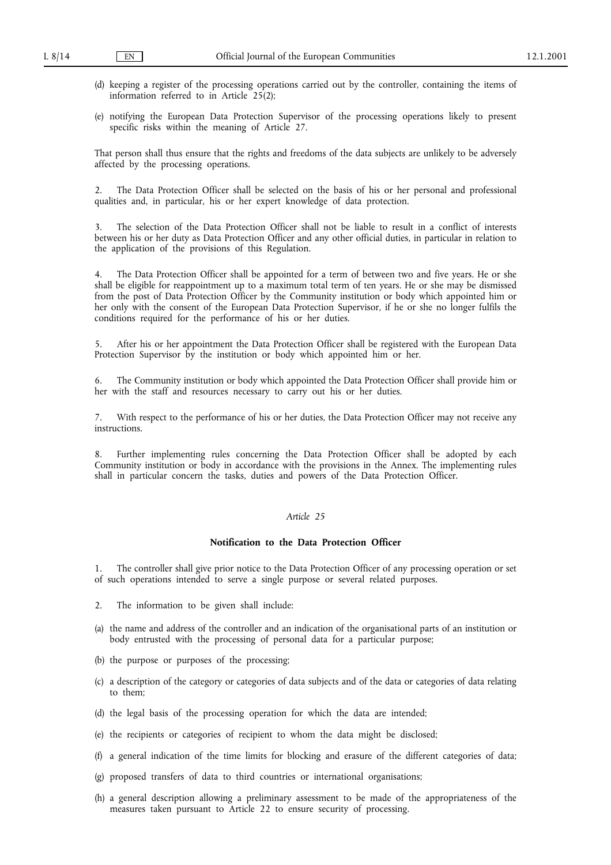- (d) keeping a register of the processing operations carried out by the controller, containing the items of information referred to in Article  $25(2)$ ;
- (e) notifying the European Data Protection Supervisor of the processing operations likely to present specific risks within the meaning of Article 27.

That person shall thus ensure that the rights and freedoms of the data subjects are unlikely to be adversely affected by the processing operations.

2. The Data Protection Officer shall be selected on the basis of his or her personal and professional qualities and, in particular, his or her expert knowledge of data protection.

The selection of the Data Protection Officer shall not be liable to result in a conflict of interests between his or her duty as Data Protection Officer and any other official duties, in particular in relation to the application of the provisions of this Regulation.

The Data Protection Officer shall be appointed for a term of between two and five years. He or she shall be eligible for reappointment up to a maximum total term of ten years. He or she may be dismissed from the post of Data Protection Officer by the Community institution or body which appointed him or her only with the consent of the European Data Protection Supervisor, if he or she no longer fulfils the conditions required for the performance of his or her duties.

5. After his or her appointment the Data Protection Officer shall be registered with the European Data Protection Supervisor by the institution or body which appointed him or her.

6. The Community institution or body which appointed the Data Protection Officer shall provide him or her with the staff and resources necessary to carry out his or her duties.

7. With respect to the performance of his or her duties, the Data Protection Officer may not receive any instructions.

8. Further implementing rules concerning the Data Protection Officer shall be adopted by each Community institution or body in accordance with the provisions in the Annex. The implementing rules shall in particular concern the tasks, duties and powers of the Data Protection Officer.

# *Article 25*

#### **Notification to the Data Protection Officer**

1. The controller shall give prior notice to the Data Protection Officer of any processing operation or set of such operations intended to serve a single purpose or several related purposes.

- 2. The information to be given shall include:
- (a) the name and address of the controller and an indication of the organisational parts of an institution or body entrusted with the processing of personal data for a particular purpose;
- (b) the purpose or purposes of the processing;
- (c) a description of the category or categories of data subjects and of the data or categories of data relating to them;
- (d) the legal basis of the processing operation for which the data are intended;
- (e) the recipients or categories of recipient to whom the data might be disclosed;
- (f) a general indication of the time limits for blocking and erasure of the different categories of data;
- (g) proposed transfers of data to third countries or international organisations;
- (h) a general description allowing a preliminary assessment to be made of the appropriateness of the measures taken pursuant to Article 22 to ensure security of processing.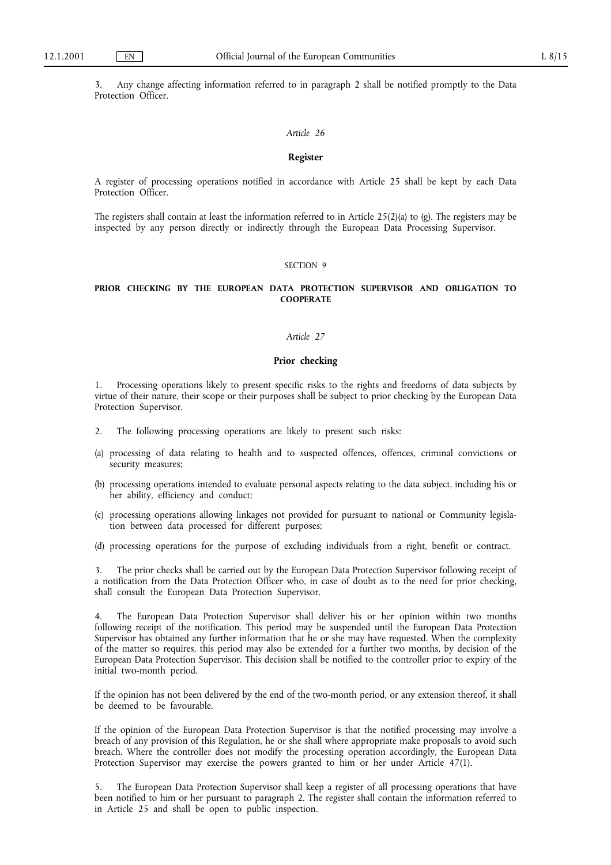3. Any change affecting information referred to in paragraph 2 shall be notified promptly to the Data Protection Officer.

## *Article 26*

### **Register**

A register of processing operations notified in accordance with Article 25 shall be kept by each Data Protection Officer.

The registers shall contain at least the information referred to in Article 25(2)(a) to (g). The registers may be inspected by any person directly or indirectly through the European Data Processing Supervisor.

#### SECTION 9

## **PRIOR CHECKING BY THE EUROPEAN DATA PROTECTION SUPERVISOR AND OBLIGATION TO COOPERATE**

#### *Article 27*

### **Prior checking**

1. Processing operations likely to present specific risks to the rights and freedoms of data subjects by virtue of their nature, their scope or their purposes shall be subject to prior checking by the European Data Protection Supervisor.

- 2. The following processing operations are likely to present such risks:
- (a) processing of data relating to health and to suspected offences, offences, criminal convictions or security measures;
- (b) processing operations intended to evaluate personal aspects relating to the data subject, including his or her ability, efficiency and conduct;
- (c) processing operations allowing linkages not provided for pursuant to national or Community legislation between data processed for different purposes;
- (d) processing operations for the purpose of excluding individuals from a right, benefit or contract.

3. The prior checks shall be carried out by the European Data Protection Supervisor following receipt of a notification from the Data Protection Officer who, in case of doubt as to the need for prior checking, shall consult the European Data Protection Supervisor.

4. The European Data Protection Supervisor shall deliver his or her opinion within two months following receipt of the notification. This period may be suspended until the European Data Protection Supervisor has obtained any further information that he or she may have requested. When the complexity of the matter so requires, this period may also be extended for a further two months, by decision of the European Data Protection Supervisor. This decision shall be notified to the controller prior to expiry of the initial two-month period.

If the opinion has not been delivered by the end of the two-month period, or any extension thereof, it shall be deemed to be favourable.

If the opinion of the European Data Protection Supervisor is that the notified processing may involve a breach of any provision of this Regulation, he or she shall where appropriate make proposals to avoid such breach. Where the controller does not modify the processing operation accordingly, the European Data Protection Supervisor may exercise the powers granted to him or her under Article 47(1).

5. The European Data Protection Supervisor shall keep a register of all processing operations that have been notified to him or her pursuant to paragraph 2. The register shall contain the information referred to in Article 25 and shall be open to public inspection.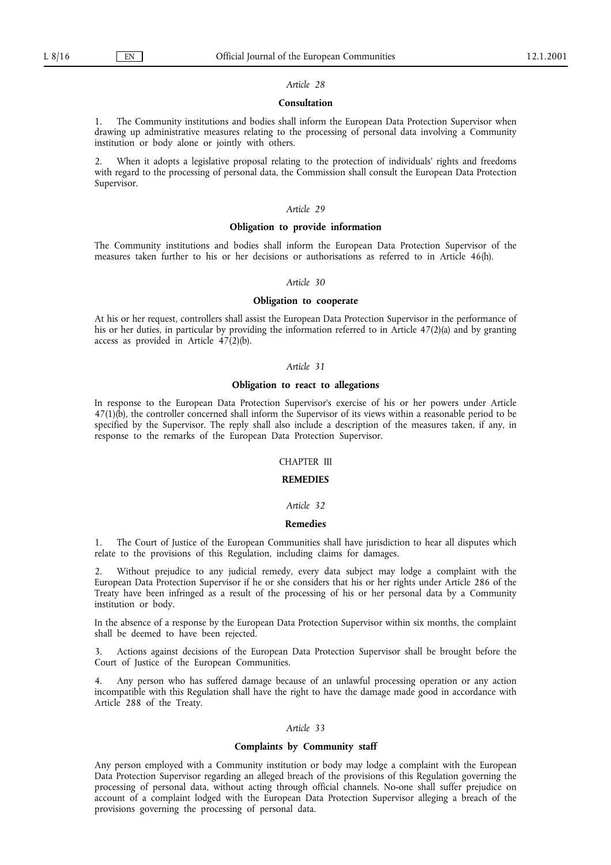#### **Consultation**

1. The Community institutions and bodies shall inform the European Data Protection Supervisor when drawing up administrative measures relating to the processing of personal data involving a Community institution or body alone or jointly with others.

2. When it adopts a legislative proposal relating to the protection of individuals' rights and freedoms with regard to the processing of personal data, the Commission shall consult the European Data Protection Supervisor.

## *Article 29*

#### **Obligation to provide information**

The Community institutions and bodies shall inform the European Data Protection Supervisor of the measures taken further to his or her decisions or authorisations as referred to in Article 46(h).

#### *Article 30*

#### **Obligation to cooperate**

At his or her request, controllers shall assist the European Data Protection Supervisor in the performance of his or her duties, in particular by providing the information referred to in Article 47(2)(a) and by granting access as provided in Article 47(2)(b).

## *Article 31*

### **Obligation to react to allegations**

In response to the European Data Protection Supervisor's exercise of his or her powers under Article 47(1)(b), the controller concerned shall inform the Supervisor of its views within a reasonable period to be specified by the Supervisor. The reply shall also include a description of the measures taken, if any, in response to the remarks of the European Data Protection Supervisor.

## **CHAPTER III**

# **REMEDIES**

## *Article 32*

#### **Remedies**

1. The Court of Justice of the European Communities shall have jurisdiction to hear all disputes which relate to the provisions of this Regulation, including claims for damages.

2. Without prejudice to any judicial remedy, every data subject may lodge a complaint with the European Data Protection Supervisor if he or she considers that his or her rights under Article 286 of the Treaty have been infringed as a result of the processing of his or her personal data by a Community institution or body.

In the absence of a response by the European Data Protection Supervisor within six months, the complaint shall be deemed to have been rejected.

3. Actions against decisions of the European Data Protection Supervisor shall be brought before the Court of Justice of the European Communities.

4. Any person who has suffered damage because of an unlawful processing operation or any action incompatible with this Regulation shall have the right to have the damage made good in accordance with Article 288 of the Treaty.

### *Article 33*

## **Complaints by Community staff**

Any person employed with a Community institution or body may lodge a complaint with the European Data Protection Supervisor regarding an alleged breach of the provisions of this Regulation governing the processing of personal data, without acting through official channels. No-one shall suffer prejudice on account of a complaint lodged with the European Data Protection Supervisor alleging a breach of the provisions governing the processing of personal data.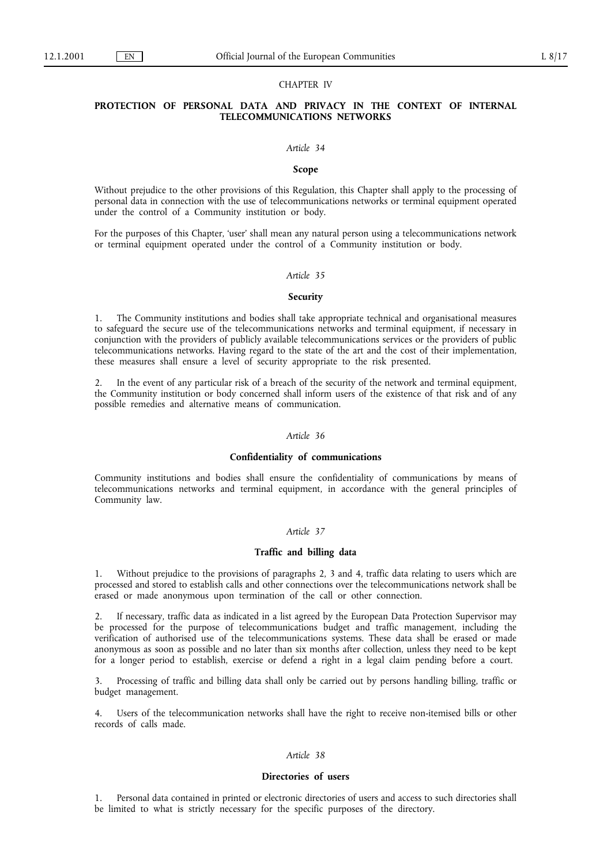### **CHAPTER IV**

## **PROTECTION OF PERSONAL DATA AND PRIVACY IN THE CONTEXT OF INTERNAL TELECOMMUNICATIONS NETWORKS**

#### *Article 34*

#### **Scope**

Without prejudice to the other provisions of this Regulation, this Chapter shall apply to the processing of personal data in connection with the use of telecommunications networks or terminal equipment operated under the control of a Community institution or body.

For the purposes of this Chapter, 'user' shall mean any natural person using a telecommunications network or terminal equipment operated under the control of a Community institution or body.

### *Article 35*

### **Security**

1. The Community institutions and bodies shall take appropriate technical and organisational measures to safeguard the secure use of the telecommunications networks and terminal equipment, if necessary in conjunction with the providers of publicly available telecommunications services or the providers of public telecommunications networks. Having regard to the state of the art and the cost of their implementation, these measures shall ensure a level of security appropriate to the risk presented.

2. In the event of any particular risk of a breach of the security of the network and terminal equipment, the Community institution or body concerned shall inform users of the existence of that risk and of any possible remedies and alternative means of communication.

## *Article 36*

## **Confidentiality of communications**

Community institutions and bodies shall ensure the confidentiality of communications by means of telecommunications networks and terminal equipment, in accordance with the general principles of Community law.

## *Article 37*

#### **Traffic and billing data**

Without prejudice to the provisions of paragraphs 2, 3 and 4, traffic data relating to users which are processed and stored to establish calls and other connections over the telecommunications network shall be erased or made anonymous upon termination of the call or other connection.

2. If necessary, traffic data as indicated in a list agreed by the European Data Protection Supervisor may be processed for the purpose of telecommunications budget and traffic management, including the verification of authorised use of the telecommunications systems. These data shall be erased or made anonymous as soon as possible and no later than six months after collection, unless they need to be kept for a longer period to establish, exercise or defend a right in a legal claim pending before a court.

3. Processing of traffic and billing data shall only be carried out by persons handling billing, traffic or budget management.

4. Users of the telecommunication networks shall have the right to receive non-itemised bills or other records of calls made.

### *Article 38*

### **Directories of users**

1. Personal data contained in printed or electronic directories of users and access to such directories shall be limited to what is strictly necessary for the specific purposes of the directory.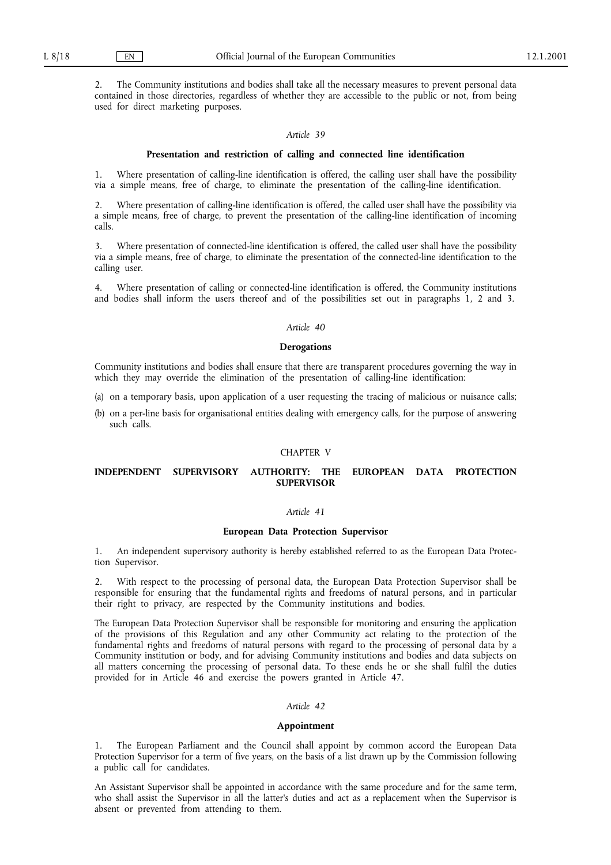2. The Community institutions and bodies shall take all the necessary measures to prevent personal data contained in those directories, regardless of whether they are accessible to the public or not, from being used for direct marketing purposes.

#### *Article 39*

#### **Presentation and restriction of calling and connected line identification**

1. Where presentation of calling-line identification is offered, the calling user shall have the possibility via a simple means, free of charge, to eliminate the presentation of the calling-line identification.

2. Where presentation of calling-line identification is offered, the called user shall have the possibility via a simple means, free of charge, to prevent the presentation of the calling-line identification of incoming calls.

3. Where presentation of connected-line identification is offered, the called user shall have the possibility via a simple means, free of charge, to eliminate the presentation of the connected-line identification to the calling user.

4. Where presentation of calling or connected-line identification is offered, the Community institutions and bodies shall inform the users thereof and of the possibilities set out in paragraphs 1, 2 and 3.

#### *Article 40*

#### **Derogations**

Community institutions and bodies shall ensure that there are transparent procedures governing the way in which they may override the elimination of the presentation of calling-line identification:

- (a) on a temporary basis, upon application of a user requesting the tracing of malicious or nuisance calls;
- (b) on a per-line basis for organisational entities dealing with emergency calls, for the purpose of answering such calls.

#### **CHAPTER V**

## **INDEPENDENT SUPERVISORY AUTHORITY: THE EUROPEAN DATA PROTECTION SUPERVISOR**

### *Article 41*

#### **European Data Protection Supervisor**

1. An independent supervisory authority is hereby established referred to as the European Data Protection Supervisor.

2. With respect to the processing of personal data, the European Data Protection Supervisor shall be responsible for ensuring that the fundamental rights and freedoms of natural persons, and in particular their right to privacy, are respected by the Community institutions and bodies.

The European Data Protection Supervisor shall be responsible for monitoring and ensuring the application of the provisions of this Regulation and any other Community act relating to the protection of the fundamental rights and freedoms of natural persons with regard to the processing of personal data by a Community institution or body, and for advising Community institutions and bodies and data subjects on all matters concerning the processing of personal data. To these ends he or she shall fulfil the duties provided for in Article 46 and exercise the powers granted in Article 47.

### *Article 42*

#### **Appointment**

1. The European Parliament and the Council shall appoint by common accord the European Data Protection Supervisor for a term of five years, on the basis of a list drawn up by the Commission following a public call for candidates.

An Assistant Supervisor shall be appointed in accordance with the same procedure and for the same term, who shall assist the Supervisor in all the latter's duties and act as a replacement when the Supervisor is absent or prevented from attending to them.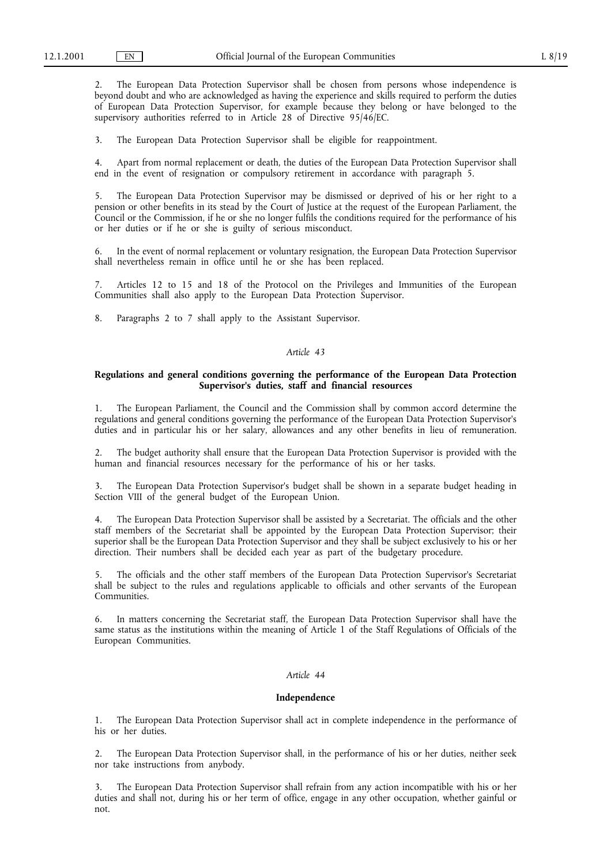2. The European Data Protection Supervisor shall be chosen from persons whose independence is beyond doubt and who are acknowledged as having the experience and skills required to perform the duties of European Data Protection Supervisor, for example because they belong or have belonged to the supervisory authorities referred to in Article 28 of Directive 95/46/EC.

3. The European Data Protection Supervisor shall be eligible for reappointment.

4. Apart from normal replacement or death, the duties of the European Data Protection Supervisor shall end in the event of resignation or compulsory retirement in accordance with paragraph 5.

5. The European Data Protection Supervisor may be dismissed or deprived of his or her right to a pension or other benefits in its stead by the Court of Justice at the request of the European Parliament, the Council or the Commission, if he or she no longer fulfils the conditions required for the performance of his or her duties or if he or she is guilty of serious misconduct.

6. In the event of normal replacement or voluntary resignation, the European Data Protection Supervisor shall nevertheless remain in office until he or she has been replaced.

7. Articles 12 to 15 and 18 of the Protocol on the Privileges and Immunities of the European Communities shall also apply to the European Data Protection Supervisor.

8. Paragraphs 2 to 7 shall apply to the Assistant Supervisor.

### *Article 43*

### **Regulations and general conditions governing the performance of the European Data Protection Supervisor's duties, staff and financial resources**

1. The European Parliament, the Council and the Commission shall by common accord determine the regulations and general conditions governing the performance of the European Data Protection Supervisor's duties and in particular his or her salary, allowances and any other benefits in lieu of remuneration.

2. The budget authority shall ensure that the European Data Protection Supervisor is provided with the human and financial resources necessary for the performance of his or her tasks.

3. The European Data Protection Supervisor's budget shall be shown in a separate budget heading in Section VIII of the general budget of the European Union.

4. The European Data Protection Supervisor shall be assisted by a Secretariat. The officials and the other staff members of the Secretariat shall be appointed by the European Data Protection Supervisor; their superior shall be the European Data Protection Supervisor and they shall be subject exclusively to his or her direction. Their numbers shall be decided each year as part of the budgetary procedure.

5. The officials and the other staff members of the European Data Protection Supervisor's Secretariat shall be subject to the rules and regulations applicable to officials and other servants of the European Communities.

6. In matters concerning the Secretariat staff, the European Data Protection Supervisor shall have the same status as the institutions within the meaning of Article 1 of the Staff Regulations of Officials of the European Communities.

### *Article 44*

### **Independence**

1. The European Data Protection Supervisor shall act in complete independence in the performance of his or her duties.

2. The European Data Protection Supervisor shall, in the performance of his or her duties, neither seek nor take instructions from anybody.

3. The European Data Protection Supervisor shall refrain from any action incompatible with his or her duties and shall not, during his or her term of office, engage in any other occupation, whether gainful or not.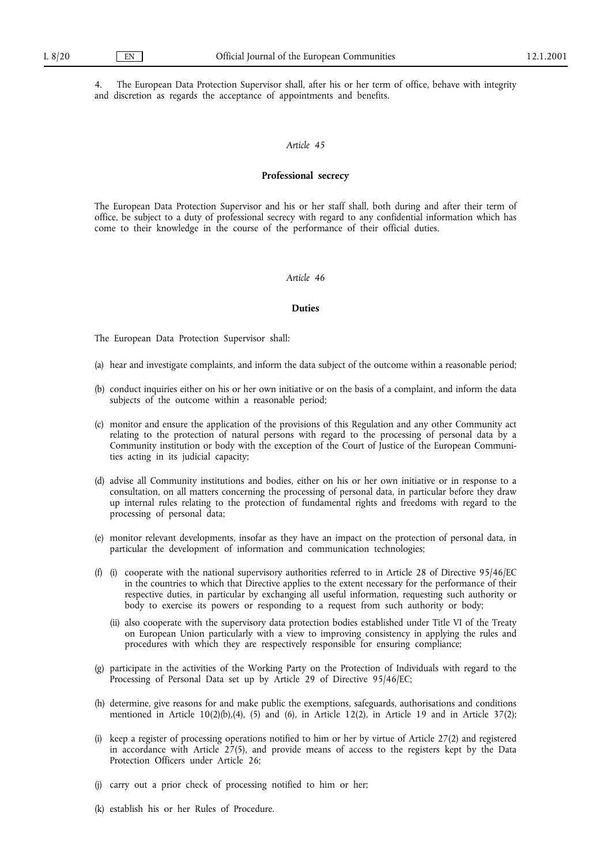4. The European Data Protection Supervisor shall, after his or her term of office, behave with integrity and discretion as regards the acceptance of appointments and benefits.

# *Article 45*

### **Professional secrecy**

The European Data Protection Supervisor and his or her staff shall, both during and after their term of office, be subject to a duty of professional secrecy with regard to any confidential information which has come to their knowledge in the course of the performance of their official duties.

## *Article 46*

#### **Duties**

The European Data Protection Supervisor shall:

- (a) hear and investigate complaints, and inform the data subject of the outcome within a reasonable period;
- (b) conduct inquiries either on his or her own initiative or on the basis of a complaint, and inform the data subjects of the outcome within a reasonable period;
- (c) monitor and ensure the application of the provisions of this Regulation and any other Community act relating to the protection of natural persons with regard to the processing of personal data by a Community institution or body with the exception of the Court of Justice of the European Communities acting in its judicial capacity;
- (d) advise all Community institutions and bodies, either on his or her own initiative or in response to a consultation, on all matters concerning the processing of personal data, in particular before they draw up internal rules relating to the protection of fundamental rights and freedoms with regard to the processing of personal data;
- (e) monitor relevant developments, insofar as they have an impact on the protection of personal data, in particular the development of information and communication technologies;
- (f) (i) cooperate with the national supervisory authorities referred to in Article 28 of Directive 95/46/EC in the countries to which that Directive applies to the extent necessary for the performance of their respective duties, in particular by exchanging all useful information, requesting such authority or body to exercise its powers or responding to a request from such authority or body;
	- (ii) also cooperate with the supervisory data protection bodies established under Title VI of the Treaty on European Union particularly with a view to improving consistency in applying the rules and procedures with which they are respectively responsible for ensuring compliance;
- (g) participate in the activities of the Working Party on the Protection of Individuals with regard to the Processing of Personal Data set up by Article 29 of Directive 95/46/EC;
- (h) determine, give reasons for and make public the exemptions, safeguards, authorisations and conditions mentioned in Article  $10(2)(b),(4)$ , (5) and (6), in Article 12(2), in Article 19 and in Article 37(2);
- (i) keep a register of processing operations notified to him or her by virtue of Article 27(2) and registered in accordance with Article  $27(5)$ , and provide means of access to the registers kept by the Data Protection Officers under Article 26:
- (j) carry out a prior check of processing notified to him or her;
- (k) establish his or her Rules of Procedure.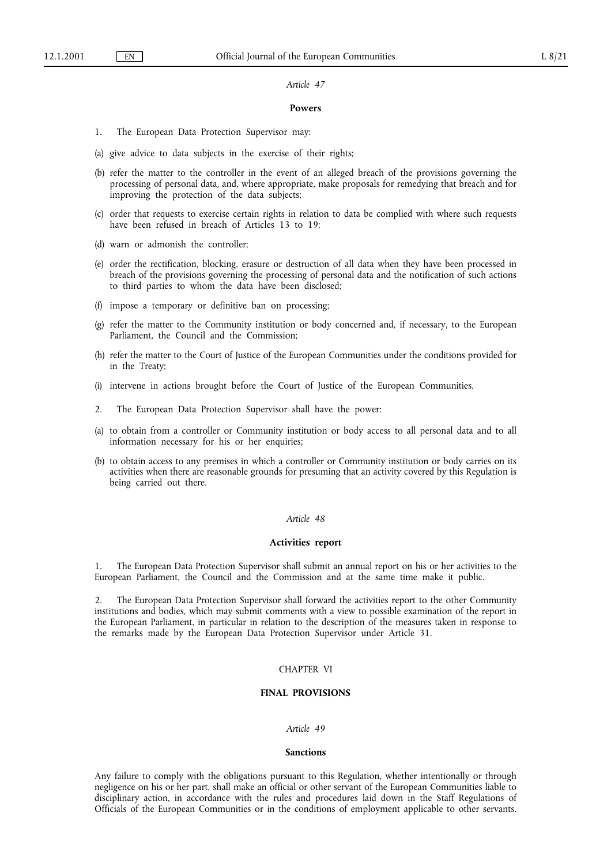#### **Powers**

- 1. The European Data Protection Supervisor may:
- (a) give advice to data subjects in the exercise of their rights;
- (b) refer the matter to the controller in the event of an alleged breach of the provisions governing the processing of personal data, and, where appropriate, make proposals for remedying that breach and for improving the protection of the data subjects;
- (c) order that requests to exercise certain rights in relation to data be complied with where such requests have been refused in breach of Articles 13 to 19;
- (d) warn or admonish the controller;
- (e) order the rectification, blocking, erasure or destruction of all data when they have been processed in breach of the provisions governing the processing of personal data and the notification of such actions to third parties to whom the data have been disclosed;
- (f) impose a temporary or definitive ban on processing;
- (g) refer the matter to the Community institution or body concerned and, if necessary, to the European Parliament, the Council and the Commission;
- (h) refer the matter to the Court of Justice of the European Communities under the conditions provided for in the Treaty;
- (i) intervene in actions brought before the Court of Justice of the European Communities.
- The European Data Protection Supervisor shall have the power:
- (a) to obtain from a controller or Community institution or body access to all personal data and to all information necessary for his or her enquiries;
- (b) to obtain access to any premises in which a controller or Community institution or body carries on its activities when there are reasonable grounds for presuming that an activity covered by this Regulation is being carried out there.

#### *Article 48*

#### **Activities report**

1. The European Data Protection Supervisor shall submit an annual report on his or her activities to the European Parliament, the Council and the Commission and at the same time make it public.

2. The European Data Protection Supervisor shall forward the activities report to the other Community institutions and bodies, which may submit comments with a view to possible examination of the report in the European Parliament, in particular in relation to the description of the measures taken in response to the remarks made by the European Data Protection Supervisor under Article 31.

# **CHAPTER VI**

## **FINAL PROVISIONS**

### *Article 49*

#### **Sanctions**

Any failure to comply with the obligations pursuant to this Regulation, whether intentionally or through negligence on his or her part, shall make an official or other servant of the European Communities liable to disciplinary action, in accordance with the rules and procedures laid down in the Staff Regulations of Officials of the European Communities or in the conditions of employment applicable to other servants.